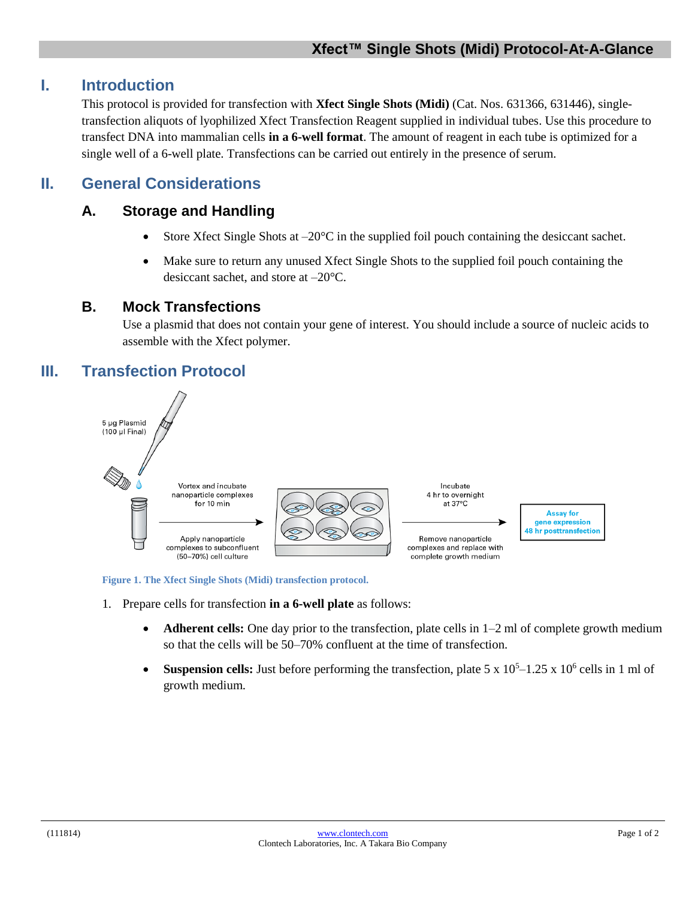## **I. Introduction**

This protocol is provided for transfection with **Xfect Single Shots (Midi)** (Cat. Nos. 631366, 631446), singletransfection aliquots of lyophilized Xfect Transfection Reagent supplied in individual tubes. Use this procedure to transfect DNA into mammalian cells **in a 6-well format**. The amount of reagent in each tube is optimized for a single well of a 6-well plate. Transfections can be carried out entirely in the presence of serum.

## **II. General Considerations**

## **A. Storage and Handling**

- Store Xfect Single Shots at  $-20^{\circ}$ C in the supplied foil pouch containing the desiceant sachet.
- Make sure to return any unused Xfect Single Shots to the supplied foil pouch containing the desiccant sachet, and store at –20°C.

### **B. Mock Transfections**

Use a plasmid that does not contain your gene of interest. You should include a source of nucleic acids to assemble with the Xfect polymer.

# **III. Transfection Protocol**



**Figure 1. The Xfect Single Shots (Midi) transfection protocol.**

- 1. Prepare cells for transfection **in a 6-well plate** as follows:
	- **Adherent cells:** One day prior to the transfection, plate cells in 1–2 ml of complete growth medium so that the cells will be 50–70% confluent at the time of transfection.
	- Suspension cells: Just before performing the transfection, plate  $5 \times 10^5 1.25 \times 10^6$  cells in 1 ml of growth medium.